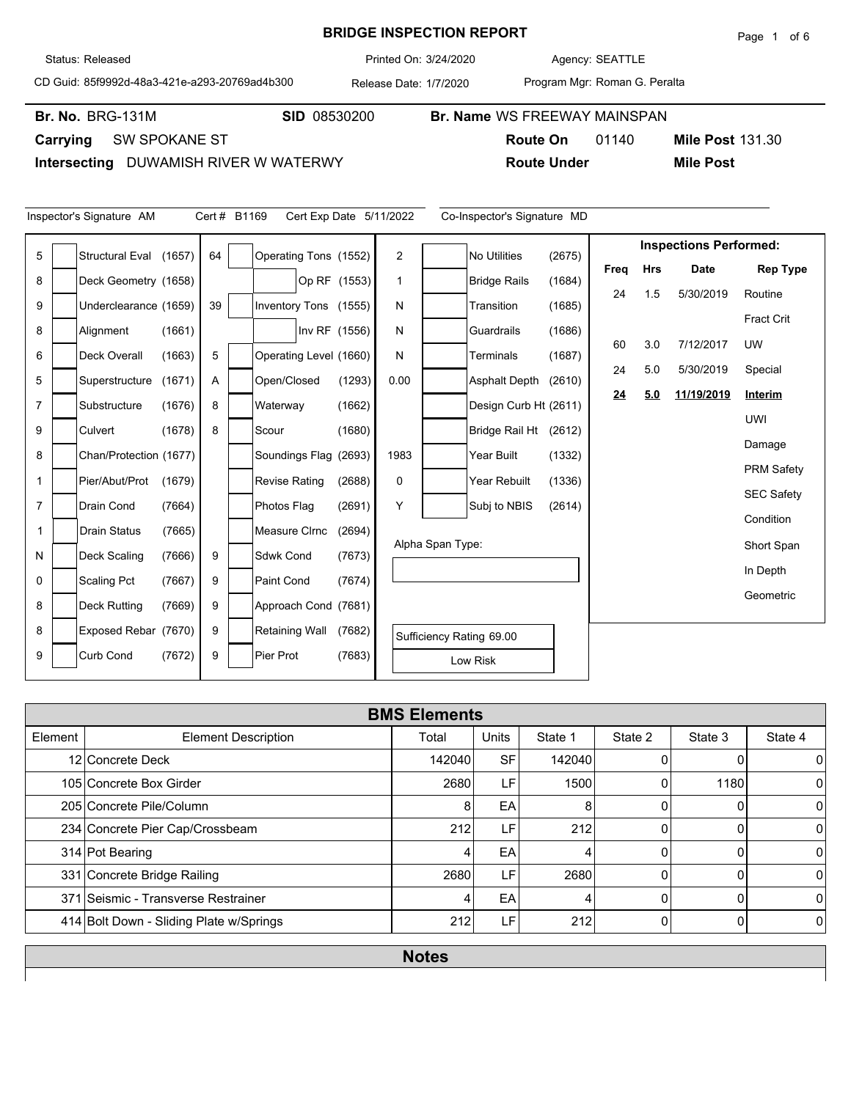## **BRIDGE INSPECTION REPORT**

Agency: 3/24/2020 SEATTLE

CD Guid: 85f9992d-48a3-421e-a293-20769ad4b300

Program Mgr: Roman G. Peralta

**Route Under Mile Post**

Br. No. BRG-131M

**Carrying** SW SPOKANE ST

**Intersecting** DUWAMISH RIVER W WATERWY

|                | Inspector's Signature AM |        | Cert # B1169 |                        |               |              | Cert Exp Date 5/11/2022 |                  | Co-Inspector's Signature MD |        |      |            |                               |                   |
|----------------|--------------------------|--------|--------------|------------------------|---------------|--------------|-------------------------|------------------|-----------------------------|--------|------|------------|-------------------------------|-------------------|
| 5              | <b>Structural Eval</b>   | (1657) | 64           | Operating Tons (1552)  |               |              | $\overline{2}$          |                  | <b>No Utilities</b>         | (2675) |      |            | <b>Inspections Performed:</b> |                   |
| 8              |                          |        |              |                        |               |              | 1                       |                  |                             |        | Freq | <b>Hrs</b> | <b>Date</b>                   | <b>Rep Type</b>   |
|                | Deck Geometry (1658)     |        |              |                        |               | Op RF (1553) |                         |                  | <b>Bridge Rails</b>         | (1684) | 24   | 1.5        | 5/30/2019                     | Routine           |
| 9              | Underclearance (1659)    |        | 39           | Inventory Tons (1555)  |               |              | N                       |                  | Transition                  | (1685) |      |            |                               | <b>Fract Crit</b> |
| 8              | Alignment                | (1661) |              |                        | Inv RF (1556) |              | N                       |                  | Guardrails                  | (1686) |      | 3.0        |                               |                   |
| 6              | <b>Deck Overall</b>      | (1663) | 5            | Operating Level (1660) |               |              | N                       |                  | Terminals                   | (1687) | 60   |            | 7/12/2017                     | <b>UW</b>         |
| 5              | Superstructure           | (1671) | A            | Open/Closed            |               | (1293)       | 0.00                    |                  | <b>Asphalt Depth</b>        | (2610) | 24   | 5.0        | 5/30/2019                     | Special           |
| $\overline{7}$ | Substructure             | (1676) | 8            | Waterway               |               | (1662)       |                         |                  | Design Curb Ht (2611)       |        | 24   | 5.0        | 11/19/2019                    | Interim           |
| 9              | Culvert                  |        | 8            |                        |               |              |                         |                  |                             |        |      |            |                               | <b>UWI</b>        |
|                |                          | (1678) |              | Scour                  |               | (1680)       |                         |                  | Bridge Rail Ht (2612)       |        |      |            |                               | Damage            |
| 8              | Chan/Protection (1677)   |        |              | Soundings Flag (2693)  |               |              | 1983                    |                  | Year Built                  | (1332) |      |            |                               | <b>PRM Safety</b> |
| 1              | Pier/Abut/Prot           | (1679) |              | <b>Revise Rating</b>   |               | (2688)       | 0                       |                  | Year Rebuilt                | (1336) |      |            |                               |                   |
| $\overline{7}$ | Drain Cond               | (7664) |              | Photos Flag            |               | (2691)       | Y                       |                  | Subj to NBIS                | (2614) |      |            |                               | <b>SEC Safety</b> |
| 1              | <b>Drain Status</b>      | (7665) |              | Measure CIrnc          |               | (2694)       |                         |                  |                             |        |      |            |                               | Condition         |
| N              | <b>Deck Scaling</b>      | (7666) | 9            | Sdwk Cond              |               | (7673)       |                         | Alpha Span Type: |                             |        |      |            |                               | Short Span        |
| $\mathbf 0$    |                          |        | 9            | Paint Cond             |               |              |                         |                  |                             |        |      |            |                               | In Depth          |
|                | <b>Scaling Pct</b>       | (7667) |              |                        |               | (7674)       |                         |                  |                             |        |      |            |                               | Geometric         |
| 8              | <b>Deck Rutting</b>      | (7669) | 9            | Approach Cond (7681)   |               |              |                         |                  |                             |        |      |            |                               |                   |
| 8              | Exposed Rebar (7670)     |        | 9            | Retaining Wall         |               | (7682)       |                         |                  | Sufficiency Rating 69.00    |        |      |            |                               |                   |
| 9              | <b>Curb Cond</b>         | (7672) | 9            | Pier Prot              |               | (7683)       |                         |                  | Low Risk                    |        |      |            |                               |                   |

|         | <b>BMS Elements</b>                     |        |              |         |         |         |          |  |  |  |  |  |  |
|---------|-----------------------------------------|--------|--------------|---------|---------|---------|----------|--|--|--|--|--|--|
| Element | <b>Element Description</b>              | Total  | <b>Units</b> | State 1 | State 2 | State 3 | State 4  |  |  |  |  |  |  |
|         | 12 Concrete Deck                        | 142040 | <b>SF</b>    | 142040  |         |         | 0        |  |  |  |  |  |  |
|         | 105 Concrete Box Girder                 | 2680   | LF           | 1500    |         | 1180    | 0        |  |  |  |  |  |  |
|         | 205 Concrete Pile/Column                | 8      | EA           | 8       |         | 0       | 0        |  |  |  |  |  |  |
|         | 234 Concrete Pier Cap/Crossbeam         | 212    | LF'          | 212     | 0       |         | 0        |  |  |  |  |  |  |
|         | 314 Pot Bearing                         |        | EA           | 4       |         | 0       | 0        |  |  |  |  |  |  |
|         | 331 Concrete Bridge Railing             | 2680   | LF           | 2680    | U       | O       | $\Omega$ |  |  |  |  |  |  |
|         | 371 Seismic - Transverse Restrainer     |        | EA           | 4       |         | 0       | 0        |  |  |  |  |  |  |
|         | 414 Bolt Down - Sliding Plate w/Springs | 212    | LF           | 212     | 0       | 0       | $\Omega$ |  |  |  |  |  |  |
|         |                                         |        |              |         |         |         |          |  |  |  |  |  |  |

**Notes**

**Mile Post 131.30** 

Status: Released

Printed On:

Release Date: 1/7/2020

**Br. No. SID** 08530200 **Br. Name** WS FREEWAY MAINSPAN

**Route On** 01140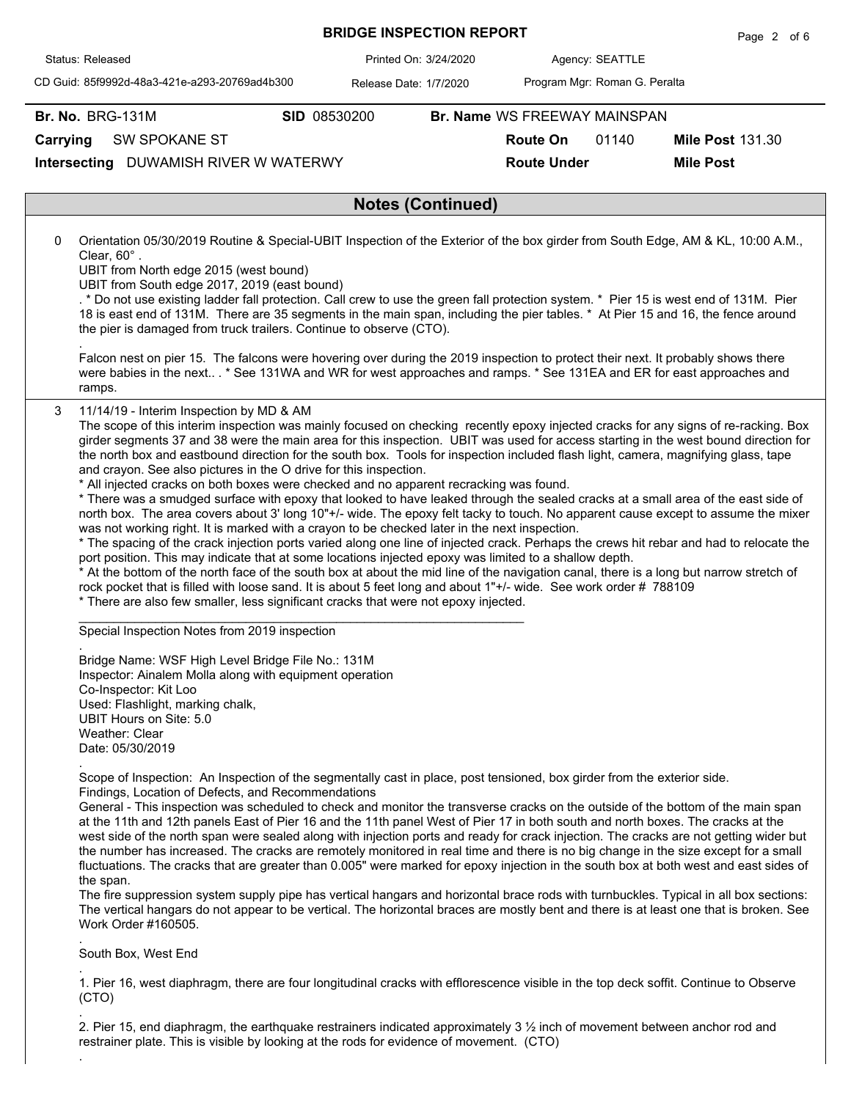|                                                                                        |                                                                                                                                                                                                                                                                                                                                                                                                                                                                                                                                                                                   |              |                        | <b>BRIDGE INSPECTION REPORT</b> |                               |                 | Page 2 of 6                                                                                                                                                                                                                                                                                                                                                                                                                                                                                                                                                                                                                                                                                                                                                                                                                                                                                                                                                                      |
|----------------------------------------------------------------------------------------|-----------------------------------------------------------------------------------------------------------------------------------------------------------------------------------------------------------------------------------------------------------------------------------------------------------------------------------------------------------------------------------------------------------------------------------------------------------------------------------------------------------------------------------------------------------------------------------|--------------|------------------------|---------------------------------|-------------------------------|-----------------|----------------------------------------------------------------------------------------------------------------------------------------------------------------------------------------------------------------------------------------------------------------------------------------------------------------------------------------------------------------------------------------------------------------------------------------------------------------------------------------------------------------------------------------------------------------------------------------------------------------------------------------------------------------------------------------------------------------------------------------------------------------------------------------------------------------------------------------------------------------------------------------------------------------------------------------------------------------------------------|
| Status: Released                                                                       |                                                                                                                                                                                                                                                                                                                                                                                                                                                                                                                                                                                   |              | Printed On: 3/24/2020  |                                 |                               | Agency: SEATTLE |                                                                                                                                                                                                                                                                                                                                                                                                                                                                                                                                                                                                                                                                                                                                                                                                                                                                                                                                                                                  |
|                                                                                        | CD Guid: 85f9992d-48a3-421e-a293-20769ad4b300                                                                                                                                                                                                                                                                                                                                                                                                                                                                                                                                     |              | Release Date: 1/7/2020 |                                 | Program Mgr: Roman G. Peralta |                 |                                                                                                                                                                                                                                                                                                                                                                                                                                                                                                                                                                                                                                                                                                                                                                                                                                                                                                                                                                                  |
| <b>Br. No. BRG-131M</b>                                                                |                                                                                                                                                                                                                                                                                                                                                                                                                                                                                                                                                                                   | SID 08530200 |                        |                                 | Br. Name WS FREEWAY MAINSPAN  |                 |                                                                                                                                                                                                                                                                                                                                                                                                                                                                                                                                                                                                                                                                                                                                                                                                                                                                                                                                                                                  |
| Carrying                                                                               | SW SPOKANE ST                                                                                                                                                                                                                                                                                                                                                                                                                                                                                                                                                                     |              |                        |                                 | <b>Route On</b>               | 01140           | <b>Mile Post 131.30</b>                                                                                                                                                                                                                                                                                                                                                                                                                                                                                                                                                                                                                                                                                                                                                                                                                                                                                                                                                          |
|                                                                                        | Intersecting DUWAMISH RIVER W WATERWY                                                                                                                                                                                                                                                                                                                                                                                                                                                                                                                                             |              |                        |                                 | <b>Route Under</b>            |                 | <b>Mile Post</b>                                                                                                                                                                                                                                                                                                                                                                                                                                                                                                                                                                                                                                                                                                                                                                                                                                                                                                                                                                 |
|                                                                                        |                                                                                                                                                                                                                                                                                                                                                                                                                                                                                                                                                                                   |              |                        | <b>Notes (Continued)</b>        |                               |                 |                                                                                                                                                                                                                                                                                                                                                                                                                                                                                                                                                                                                                                                                                                                                                                                                                                                                                                                                                                                  |
|                                                                                        |                                                                                                                                                                                                                                                                                                                                                                                                                                                                                                                                                                                   |              |                        |                                 |                               |                 |                                                                                                                                                                                                                                                                                                                                                                                                                                                                                                                                                                                                                                                                                                                                                                                                                                                                                                                                                                                  |
| 0<br>Clear, 60°.                                                                       | UBIT from North edge 2015 (west bound)<br>UBIT from South edge 2017, 2019 (east bound)<br>the pier is damaged from truck trailers. Continue to observe (CTO).                                                                                                                                                                                                                                                                                                                                                                                                                     |              |                        |                                 |                               |                 | Orientation 05/30/2019 Routine & Special-UBIT Inspection of the Exterior of the box girder from South Edge, AM & KL, 10:00 A.M.,<br>. * Do not use existing ladder fall protection. Call crew to use the green fall protection system. * Pier 15 is west end of 131M. Pier<br>18 is east end of 131M. There are 35 segments in the main span, including the pier tables. * At Pier 15 and 16, the fence around<br>Falcon nest on pier 15. The falcons were hovering over during the 2019 inspection to protect their next. It probably shows there<br>were babies in the next * See 131WA and WR for west approaches and ramps. * See 131EA and ER for east approaches and                                                                                                                                                                                                                                                                                                       |
| ramps.                                                                                 |                                                                                                                                                                                                                                                                                                                                                                                                                                                                                                                                                                                   |              |                        |                                 |                               |                 |                                                                                                                                                                                                                                                                                                                                                                                                                                                                                                                                                                                                                                                                                                                                                                                                                                                                                                                                                                                  |
|                                                                                        | and crayon. See also pictures in the O drive for this inspection.<br>* All injected cracks on both boxes were checked and no apparent recracking was found.<br>was not working right. It is marked with a crayon to be checked later in the next inspection.<br>port position. This may indicate that at some locations injected epoxy was limited to a shallow depth.<br>rock pocket that is filled with loose sand. It is about 5 feet long and about 1"+/- wide. See work order #788109<br>* There are also few smaller, less significant cracks that were not epoxy injected. |              |                        |                                 |                               |                 | The scope of this interim inspection was mainly focused on checking recently epoxy injected cracks for any signs of re-racking. Box<br>girder segments 37 and 38 were the main area for this inspection. UBIT was used for access starting in the west bound direction for<br>the north box and eastbound direction for the south box. Tools for inspection included flash light, camera, magnifying glass, tape<br>* There was a smudged surface with epoxy that looked to have leaked through the sealed cracks at a small area of the east side of<br>north box. The area covers about 3' long 10"+/- wide. The epoxy felt tacky to touch. No apparent cause except to assume the mixer<br>* The spacing of the crack injection ports varied along one line of injected crack. Perhaps the crews hit rebar and had to relocate the<br>* At the bottom of the north face of the south box at about the mid line of the navigation canal, there is a long but narrow stretch of |
|                                                                                        | Special Inspection Notes from 2019 inspection                                                                                                                                                                                                                                                                                                                                                                                                                                                                                                                                     |              |                        |                                 |                               |                 |                                                                                                                                                                                                                                                                                                                                                                                                                                                                                                                                                                                                                                                                                                                                                                                                                                                                                                                                                                                  |
| Co-Inspector: Kit Loo<br>UBIT Hours on Site: 5.0<br>Weather: Clear<br>Date: 05/30/2019 | Bridge Name: WSF High Level Bridge File No.: 131M<br>Inspector: Ainalem Molla along with equipment operation<br>Used: Flashlight, marking chalk,                                                                                                                                                                                                                                                                                                                                                                                                                                  |              |                        |                                 |                               |                 |                                                                                                                                                                                                                                                                                                                                                                                                                                                                                                                                                                                                                                                                                                                                                                                                                                                                                                                                                                                  |
| the span.<br>Work Order #160505.                                                       | Scope of Inspection: An Inspection of the segmentally cast in place, post tensioned, box girder from the exterior side.<br>Findings, Location of Defects, and Recommendations                                                                                                                                                                                                                                                                                                                                                                                                     |              |                        |                                 |                               |                 | General - This inspection was scheduled to check and monitor the transverse cracks on the outside of the bottom of the main span<br>at the 11th and 12th panels East of Pier 16 and the 11th panel West of Pier 17 in both south and north boxes. The cracks at the<br>west side of the north span were sealed along with injection ports and ready for crack injection. The cracks are not getting wider but<br>the number has increased. The cracks are remotely monitored in real time and there is no big change in the size except for a small<br>fluctuations. The cracks that are greater than 0.005" were marked for epoxy injection in the south box at both west and east sides of<br>The fire suppression system supply pipe has vertical hangars and horizontal brace rods with turnbuckles. Typical in all box sections:<br>The vertical hangars do not appear to be vertical. The horizontal braces are mostly bent and there is at least one that is broken. See  |
| South Box, West End                                                                    |                                                                                                                                                                                                                                                                                                                                                                                                                                                                                                                                                                                   |              |                        |                                 |                               |                 |                                                                                                                                                                                                                                                                                                                                                                                                                                                                                                                                                                                                                                                                                                                                                                                                                                                                                                                                                                                  |
| (CTO)                                                                                  |                                                                                                                                                                                                                                                                                                                                                                                                                                                                                                                                                                                   |              |                        |                                 |                               |                 | 1. Pier 16, west diaphragm, there are four longitudinal cracks with efflorescence visible in the top deck soffit. Continue to Observe                                                                                                                                                                                                                                                                                                                                                                                                                                                                                                                                                                                                                                                                                                                                                                                                                                            |

2. Pier 15, end diaphragm, the earthquake restrainers indicated approximately 3 ½ inch of movement between anchor rod and restrainer plate. This is visible by looking at the rods for evidence of movement. (CTO)

## **BRIDGE INSPECTION REPORT**

.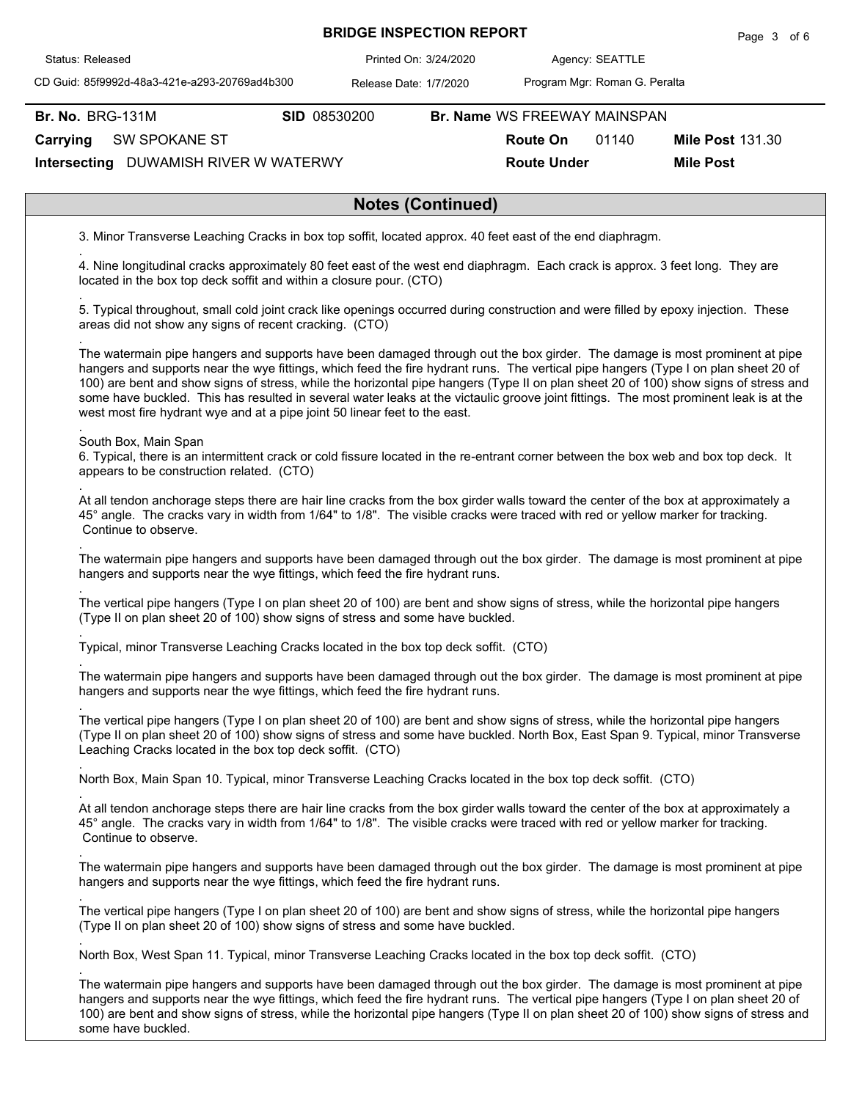| <b>BRIDGE INSPECTION REPORT</b> |  |
|---------------------------------|--|
| Printed On: 3/24/2020           |  |

Agency: 3/24/2020 SEATTLE

CD Guid: 85f9992d-48a3-421e-a293-20769ad4b300

Release Date: 1/7/2020

Program Mgr: Roman G. Peralta

**Br. No. BRG-131M** 

Status: Released

.

.

.

.

.

.

.

.

.

.

.

.

.

**Br. No. SID** 08530200 **Br. Name** WS FREEWAY MAINSPAN

**Route On** 01140

**Mile Post 131.30** 

**Route Under Mile Post**

**Intersecting** DUWAMISH RIVER W WATERWY **Carrying** SW SPOKANE ST

## **Notes (Continued)**

3. Minor Transverse Leaching Cracks in box top soffit, located approx. 40 feet east of the end diaphragm.

4. Nine longitudinal cracks approximately 80 feet east of the west end diaphragm. Each crack is approx. 3 feet long. They are located in the box top deck soffit and within a closure pour. (CTO)

. 5. Typical throughout, small cold joint crack like openings occurred during construction and were filled by epoxy injection. These areas did not show any signs of recent cracking. (CTO)

The watermain pipe hangers and supports have been damaged through out the box girder. The damage is most prominent at pipe hangers and supports near the wye fittings, which feed the fire hydrant runs. The vertical pipe hangers (Type I on plan sheet 20 of 100) are bent and show signs of stress, while the horizontal pipe hangers (Type II on plan sheet 20 of 100) show signs of stress and some have buckled. This has resulted in several water leaks at the victaulic groove joint fittings. The most prominent leak is at the west most fire hydrant wye and at a pipe joint 50 linear feet to the east.

## . South Box, Main Span

6. Typical, there is an intermittent crack or cold fissure located in the re-entrant corner between the box web and box top deck. It appears to be construction related. (CTO)

At all tendon anchorage steps there are hair line cracks from the box girder walls toward the center of the box at approximately a 45° angle. The cracks vary in width from 1/64" to 1/8". The visible cracks were traced with red or yellow marker for tracking. Continue to observe.

The watermain pipe hangers and supports have been damaged through out the box girder. The damage is most prominent at pipe hangers and supports near the wye fittings, which feed the fire hydrant runs.

The vertical pipe hangers (Type I on plan sheet 20 of 100) are bent and show signs of stress, while the horizontal pipe hangers (Type II on plan sheet 20 of 100) show signs of stress and some have buckled.

Typical, minor Transverse Leaching Cracks located in the box top deck soffit. (CTO)

The watermain pipe hangers and supports have been damaged through out the box girder. The damage is most prominent at pipe hangers and supports near the wye fittings, which feed the fire hydrant runs.

The vertical pipe hangers (Type I on plan sheet 20 of 100) are bent and show signs of stress, while the horizontal pipe hangers (Type II on plan sheet 20 of 100) show signs of stress and some have buckled. North Box, East Span 9. Typical, minor Transverse Leaching Cracks located in the box top deck soffit. (CTO)

North Box, Main Span 10. Typical, minor Transverse Leaching Cracks located in the box top deck soffit. (CTO)

At all tendon anchorage steps there are hair line cracks from the box girder walls toward the center of the box at approximately a 45° angle. The cracks vary in width from 1/64" to 1/8". The visible cracks were traced with red or yellow marker for tracking. Continue to observe.

The watermain pipe hangers and supports have been damaged through out the box girder. The damage is most prominent at pipe hangers and supports near the wye fittings, which feed the fire hydrant runs.

. The vertical pipe hangers (Type I on plan sheet 20 of 100) are bent and show signs of stress, while the horizontal pipe hangers (Type II on plan sheet 20 of 100) show signs of stress and some have buckled.

North Box, West Span 11. Typical, minor Transverse Leaching Cracks located in the box top deck soffit. (CTO)

The watermain pipe hangers and supports have been damaged through out the box girder. The damage is most prominent at pipe hangers and supports near the wye fittings, which feed the fire hydrant runs. The vertical pipe hangers (Type I on plan sheet 20 of 100) are bent and show signs of stress, while the horizontal pipe hangers (Type II on plan sheet 20 of 100) show signs of stress and some have buckled.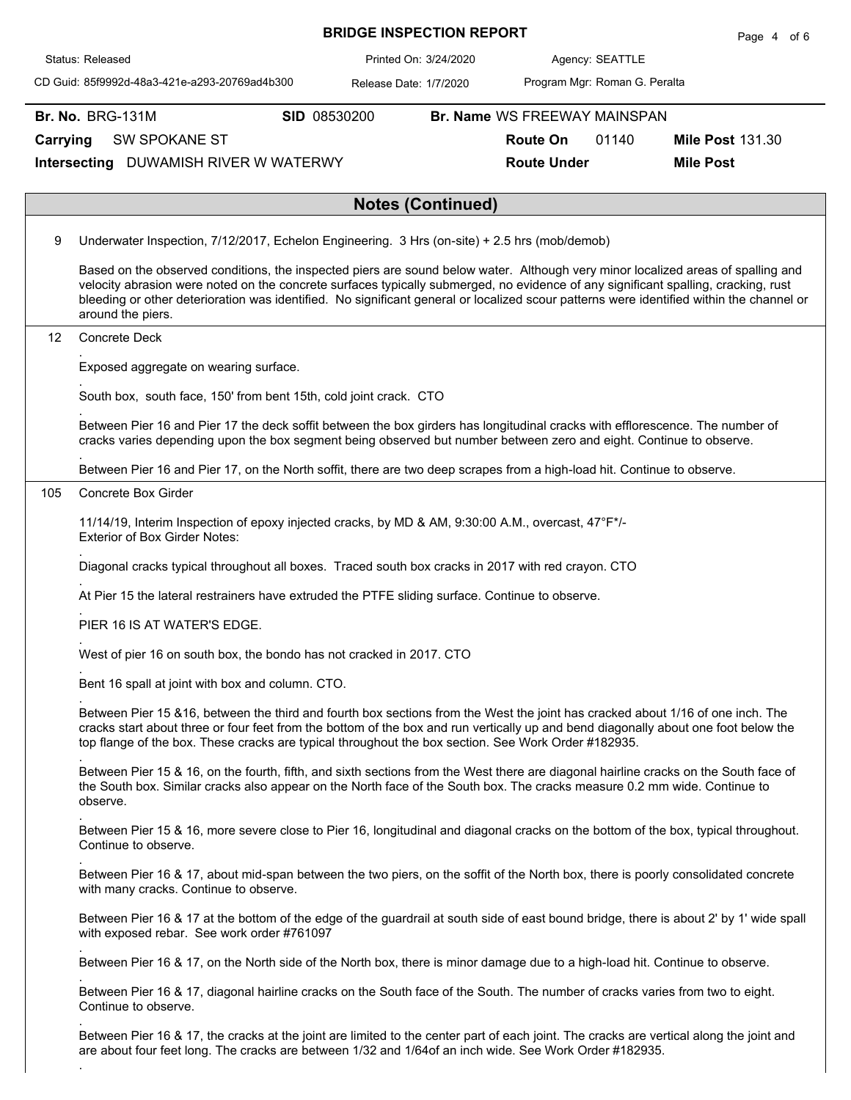|                                                             |                         |                                                                                                                                                       |              | <b>BRIDGE INSPECTION REPORT</b> |                               |                 |       | Page 4 of 6                                                                                                                                                                                                                                                                                                                                                                                                        |
|-------------------------------------------------------------|-------------------------|-------------------------------------------------------------------------------------------------------------------------------------------------------|--------------|---------------------------------|-------------------------------|-----------------|-------|--------------------------------------------------------------------------------------------------------------------------------------------------------------------------------------------------------------------------------------------------------------------------------------------------------------------------------------------------------------------------------------------------------------------|
|                                                             | Status: Released        |                                                                                                                                                       |              | Printed On: 3/24/2020           |                               |                 |       |                                                                                                                                                                                                                                                                                                                                                                                                                    |
|                                                             |                         | CD Guid: 85f9992d-48a3-421e-a293-20769ad4b300                                                                                                         |              | Release Date: 1/7/2020          | Program Mgr: Roman G. Peralta |                 |       |                                                                                                                                                                                                                                                                                                                                                                                                                    |
|                                                             | <b>Br. No. BRG-131M</b> |                                                                                                                                                       | SID 08530200 |                                 | Br. Name WS FREEWAY MAINSPAN  |                 |       |                                                                                                                                                                                                                                                                                                                                                                                                                    |
| Carrying                                                    |                         | SW SPOKANE ST                                                                                                                                         |              |                                 |                               | <b>Route On</b> | 01140 | <b>Mile Post 131.30</b>                                                                                                                                                                                                                                                                                                                                                                                            |
| Intersecting DUWAMISH RIVER W WATERWY<br><b>Route Under</b> |                         |                                                                                                                                                       |              |                                 |                               |                 |       | <b>Mile Post</b>                                                                                                                                                                                                                                                                                                                                                                                                   |
|                                                             |                         |                                                                                                                                                       |              | <b>Notes (Continued)</b>        |                               |                 |       |                                                                                                                                                                                                                                                                                                                                                                                                                    |
| 9                                                           |                         | Underwater Inspection, 7/12/2017, Echelon Engineering. 3 Hrs (on-site) + 2.5 hrs (mob/demob)                                                          |              |                                 |                               |                 |       |                                                                                                                                                                                                                                                                                                                                                                                                                    |
|                                                             |                         | around the piers.                                                                                                                                     |              |                                 |                               |                 |       | Based on the observed conditions, the inspected piers are sound below water. Although very minor localized areas of spalling and<br>velocity abrasion were noted on the concrete surfaces typically submerged, no evidence of any significant spalling, cracking, rust<br>bleeding or other deterioration was identified. No significant general or localized scour patterns were identified within the channel or |
| 12                                                          |                         | <b>Concrete Deck</b>                                                                                                                                  |              |                                 |                               |                 |       |                                                                                                                                                                                                                                                                                                                                                                                                                    |
|                                                             |                         | Exposed aggregate on wearing surface.                                                                                                                 |              |                                 |                               |                 |       |                                                                                                                                                                                                                                                                                                                                                                                                                    |
|                                                             |                         | South box, south face, 150' from bent 15th, cold joint crack. CTO                                                                                     |              |                                 |                               |                 |       |                                                                                                                                                                                                                                                                                                                                                                                                                    |
|                                                             |                         | cracks varies depending upon the box segment being observed but number between zero and eight. Continue to observe.                                   |              |                                 |                               |                 |       | Between Pier 16 and Pier 17 the deck soffit between the box girders has longitudinal cracks with efflorescence. The number of                                                                                                                                                                                                                                                                                      |
|                                                             |                         | Between Pier 16 and Pier 17, on the North soffit, there are two deep scrapes from a high-load hit. Continue to observe.                               |              |                                 |                               |                 |       |                                                                                                                                                                                                                                                                                                                                                                                                                    |
| 105                                                         |                         | Concrete Box Girder                                                                                                                                   |              |                                 |                               |                 |       |                                                                                                                                                                                                                                                                                                                                                                                                                    |
|                                                             |                         | 11/14/19, Interim Inspection of epoxy injected cracks, by MD & AM, 9:30:00 A.M., overcast, 47°F*/-<br><b>Exterior of Box Girder Notes:</b>            |              |                                 |                               |                 |       |                                                                                                                                                                                                                                                                                                                                                                                                                    |
|                                                             |                         | Diagonal cracks typical throughout all boxes. Traced south box cracks in 2017 with red crayon. CTO                                                    |              |                                 |                               |                 |       |                                                                                                                                                                                                                                                                                                                                                                                                                    |
|                                                             |                         | At Pier 15 the lateral restrainers have extruded the PTFE sliding surface. Continue to observe.                                                       |              |                                 |                               |                 |       |                                                                                                                                                                                                                                                                                                                                                                                                                    |
|                                                             |                         | PIER 16 IS AT WATER'S EDGE.                                                                                                                           |              |                                 |                               |                 |       |                                                                                                                                                                                                                                                                                                                                                                                                                    |
|                                                             |                         | West of pier 16 on south box, the bondo has not cracked in 2017. CTO                                                                                  |              |                                 |                               |                 |       |                                                                                                                                                                                                                                                                                                                                                                                                                    |
|                                                             |                         | Bent 16 spall at joint with box and column. CTO.                                                                                                      |              |                                 |                               |                 |       |                                                                                                                                                                                                                                                                                                                                                                                                                    |
|                                                             |                         | top flange of the box. These cracks are typical throughout the box section. See Work Order #182935.                                                   |              |                                 |                               |                 |       | Between Pier 15 &16, between the third and fourth box sections from the West the joint has cracked about 1/16 of one inch. The<br>cracks start about three or four feet from the bottom of the box and run vertically up and bend diagonally about one foot below the                                                                                                                                              |
|                                                             | observe.                | the South box. Similar cracks also appear on the North face of the South box. The cracks measure 0.2 mm wide. Continue to                             |              |                                 |                               |                 |       | Between Pier 15 & 16, on the fourth, fifth, and sixth sections from the West there are diagonal hairline cracks on the South face of                                                                                                                                                                                                                                                                               |
|                                                             |                         | Continue to observe.                                                                                                                                  |              |                                 |                               |                 |       | Between Pier 15 & 16, more severe close to Pier 16, longitudinal and diagonal cracks on the bottom of the box, typical throughout.                                                                                                                                                                                                                                                                                 |
|                                                             |                         | with many cracks. Continue to observe.                                                                                                                |              |                                 |                               |                 |       | Between Pier 16 & 17, about mid-span between the two piers, on the soffit of the North box, there is poorly consolidated concrete                                                                                                                                                                                                                                                                                  |
|                                                             |                         | with exposed rebar. See work order #761097                                                                                                            |              |                                 |                               |                 |       | Between Pier 16 & 17 at the bottom of the edge of the guardrail at south side of east bound bridge, there is about 2' by 1' wide spall                                                                                                                                                                                                                                                                             |
|                                                             |                         | Between Pier 16 & 17, on the North side of the North box, there is minor damage due to a high-load hit. Continue to observe.                          |              |                                 |                               |                 |       |                                                                                                                                                                                                                                                                                                                                                                                                                    |
|                                                             |                         | Between Pier 16 & 17, diagonal hairline cracks on the South face of the South. The number of cracks varies from two to eight.<br>Continue to observe. |              |                                 |                               |                 |       |                                                                                                                                                                                                                                                                                                                                                                                                                    |
|                                                             |                         | are about four feet long. The cracks are between 1/32 and 1/64of an inch wide. See Work Order #182935.                                                |              |                                 |                               |                 |       | Between Pier 16 & 17, the cracks at the joint are limited to the center part of each joint. The cracks are vertical along the joint and                                                                                                                                                                                                                                                                            |

 $\mathsf{L}$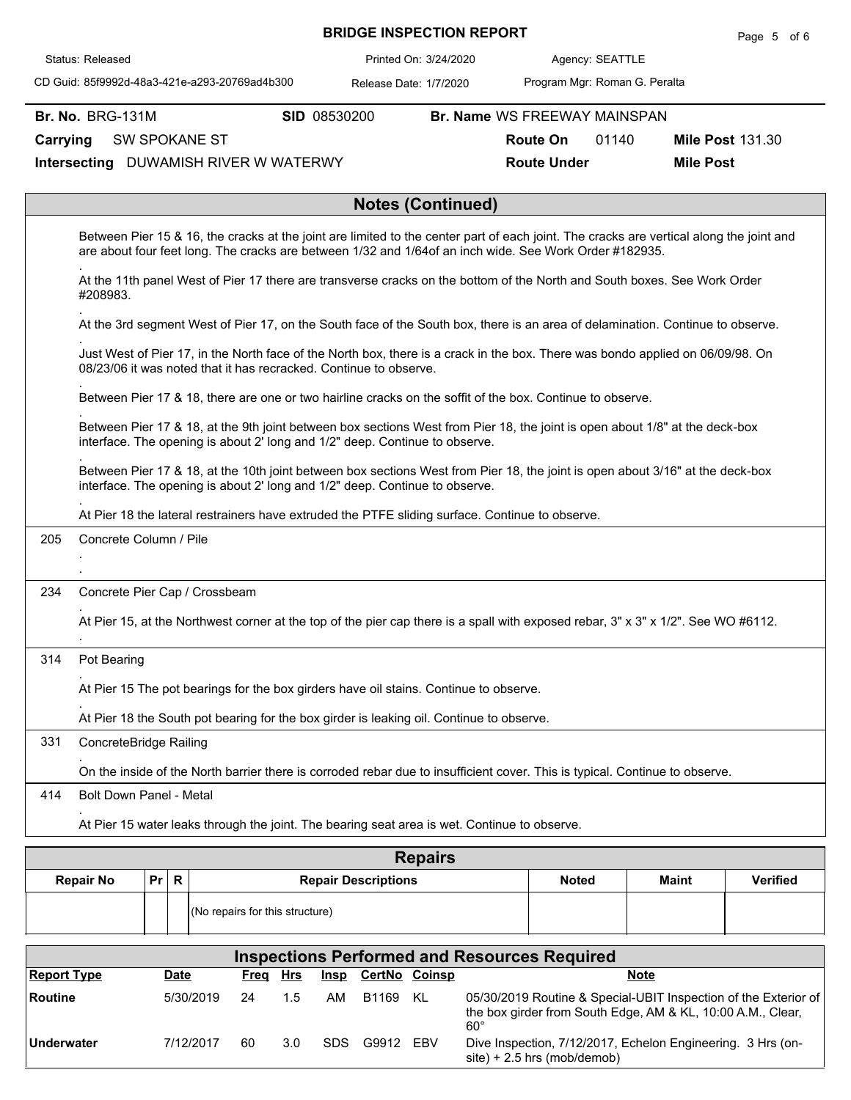|          |                                                                                                                                                                                                            |                                                                                              |              | <b>BRIDGE INSPECTION REPORT</b> |                          |                                                                                                                             |                 | Page 5 of 6                                                                                                                             |  |  |
|----------|------------------------------------------------------------------------------------------------------------------------------------------------------------------------------------------------------------|----------------------------------------------------------------------------------------------|--------------|---------------------------------|--------------------------|-----------------------------------------------------------------------------------------------------------------------------|-----------------|-----------------------------------------------------------------------------------------------------------------------------------------|--|--|
|          | Status: Released                                                                                                                                                                                           |                                                                                              |              |                                 | Printed On: 3/24/2020    |                                                                                                                             | Agency: SEATTLE |                                                                                                                                         |  |  |
|          |                                                                                                                                                                                                            | CD Guid: 85f9992d-48a3-421e-a293-20769ad4b300                                                |              | Release Date: 1/7/2020          |                          | Program Mgr: Roman G. Peralta                                                                                               |                 |                                                                                                                                         |  |  |
|          | <b>Br. No. BRG-131M</b>                                                                                                                                                                                    |                                                                                              | SID 08530200 |                                 |                          | Br. Name WS FREEWAY MAINSPAN                                                                                                |                 |                                                                                                                                         |  |  |
| Carrying |                                                                                                                                                                                                            | <b>SW SPOKANE ST</b>                                                                         |              |                                 |                          | <b>Route On</b>                                                                                                             | 01140           | <b>Mile Post 131.30</b>                                                                                                                 |  |  |
|          |                                                                                                                                                                                                            | Intersecting DUWAMISH RIVER W WATERWY                                                        |              |                                 |                          | <b>Route Under</b>                                                                                                          |                 | <b>Mile Post</b>                                                                                                                        |  |  |
|          |                                                                                                                                                                                                            |                                                                                              |              |                                 | <b>Notes (Continued)</b> |                                                                                                                             |                 |                                                                                                                                         |  |  |
|          |                                                                                                                                                                                                            |                                                                                              |              |                                 |                          | are about four feet long. The cracks are between 1/32 and 1/64of an inch wide. See Work Order #182935.                      |                 | Between Pier 15 & 16, the cracks at the joint are limited to the center part of each joint. The cracks are vertical along the joint and |  |  |
|          | #208983.                                                                                                                                                                                                   |                                                                                              |              |                                 |                          | At the 11th panel West of Pier 17 there are transverse cracks on the bottom of the North and South boxes. See Work Order    |                 |                                                                                                                                         |  |  |
|          |                                                                                                                                                                                                            |                                                                                              |              |                                 |                          |                                                                                                                             |                 | At the 3rd segment West of Pier 17, on the South face of the South box, there is an area of delamination. Continue to observe.          |  |  |
|          | Just West of Pier 17, in the North face of the North box, there is a crack in the box. There was bondo applied on 06/09/98. On<br>08/23/06 it was noted that it has recracked. Continue to observe.        |                                                                                              |              |                                 |                          |                                                                                                                             |                 |                                                                                                                                         |  |  |
|          | Between Pier 17 & 18, there are one or two hairline cracks on the soffit of the box. Continue to observe.                                                                                                  |                                                                                              |              |                                 |                          |                                                                                                                             |                 |                                                                                                                                         |  |  |
|          | Between Pier 17 & 18, at the 9th joint between box sections West from Pier 18, the joint is open about 1/8" at the deck-box<br>interface. The opening is about 2' long and 1/2" deep. Continue to observe. |                                                                                              |              |                                 |                          |                                                                                                                             |                 |                                                                                                                                         |  |  |
|          |                                                                                                                                                                                                            | interface. The opening is about 2' long and 1/2" deep. Continue to observe.                  |              |                                 |                          |                                                                                                                             |                 | Between Pier 17 & 18, at the 10th joint between box sections West from Pier 18, the joint is open about 3/16" at the deck-box           |  |  |
|          |                                                                                                                                                                                                            |                                                                                              |              |                                 |                          | At Pier 18 the lateral restrainers have extruded the PTFE sliding surface. Continue to observe.                             |                 |                                                                                                                                         |  |  |
| 205      | Concrete Column / Pile                                                                                                                                                                                     |                                                                                              |              |                                 |                          |                                                                                                                             |                 |                                                                                                                                         |  |  |
|          |                                                                                                                                                                                                            |                                                                                              |              |                                 |                          |                                                                                                                             |                 |                                                                                                                                         |  |  |
| 234      |                                                                                                                                                                                                            | Concrete Pier Cap / Crossbeam                                                                |              |                                 |                          |                                                                                                                             |                 |                                                                                                                                         |  |  |
|          |                                                                                                                                                                                                            |                                                                                              |              |                                 |                          |                                                                                                                             |                 | At Pier 15, at the Northwest corner at the top of the pier cap there is a spall with exposed rebar, 3" x 3" x 1/2". See WO #6112.       |  |  |
| 314      | Pot Bearing                                                                                                                                                                                                |                                                                                              |              |                                 |                          |                                                                                                                             |                 |                                                                                                                                         |  |  |
|          |                                                                                                                                                                                                            | At Pier 15 The pot bearings for the box girders have oil stains. Continue to observe.        |              |                                 |                          |                                                                                                                             |                 |                                                                                                                                         |  |  |
|          |                                                                                                                                                                                                            | At Pier 18 the South pot bearing for the box girder is leaking oil. Continue to observe.     |              |                                 |                          |                                                                                                                             |                 |                                                                                                                                         |  |  |
| 331      | ConcreteBridge Railing                                                                                                                                                                                     |                                                                                              |              |                                 |                          |                                                                                                                             |                 |                                                                                                                                         |  |  |
|          |                                                                                                                                                                                                            |                                                                                              |              |                                 |                          | On the inside of the North barrier there is corroded rebar due to insufficient cover. This is typical. Continue to observe. |                 |                                                                                                                                         |  |  |
| 414      | Bolt Down Panel - Metal                                                                                                                                                                                    |                                                                                              |              |                                 |                          |                                                                                                                             |                 |                                                                                                                                         |  |  |
|          |                                                                                                                                                                                                            | At Pier 15 water leaks through the joint. The bearing seat area is wet. Continue to observe. |              |                                 |                          |                                                                                                                             |                 |                                                                                                                                         |  |  |
|          |                                                                                                                                                                                                            |                                                                                              |              |                                 | <b>Repairs</b>           |                                                                                                                             |                 |                                                                                                                                         |  |  |

|                  |      | <b>IVANGII</b>                        |              |              |                 |
|------------------|------|---------------------------------------|--------------|--------------|-----------------|
| <b>Repair No</b> | Pr R | <b>Repair Descriptions</b>            | <b>Noted</b> | <b>Maint</b> | <b>Verified</b> |
|                  |      | $($ No repairs for this structure $)$ |              |              |                 |

|                    | <b>Inspections Performed and Resources Required</b> |      |     |            |           |               |                                                                                                                                       |  |  |  |  |  |  |  |
|--------------------|-----------------------------------------------------|------|-----|------------|-----------|---------------|---------------------------------------------------------------------------------------------------------------------------------------|--|--|--|--|--|--|--|
| <b>Report Type</b> | <b>Date</b>                                         | Freq | Hrs | Insp       |           | CertNo Coinsp | <b>Note</b>                                                                                                                           |  |  |  |  |  |  |  |
| Routine            | 5/30/2019                                           | 24   | 1.5 | AМ         | B1169     | - KL          | 05/30/2019 Routine & Special-UBIT Inspection of the Exterior of<br>the box girder from South Edge, AM & KL, 10:00 A.M., Clear,<br>60° |  |  |  |  |  |  |  |
| Underwater         | 7/12/2017                                           | 60   | 3.0 | <b>SDS</b> | G9912 FBV |               | Dive Inspection, 7/12/2017, Echelon Engineering. 3 Hrs (on-<br>$site$ ) + 2.5 hrs (mob/demob)                                         |  |  |  |  |  |  |  |